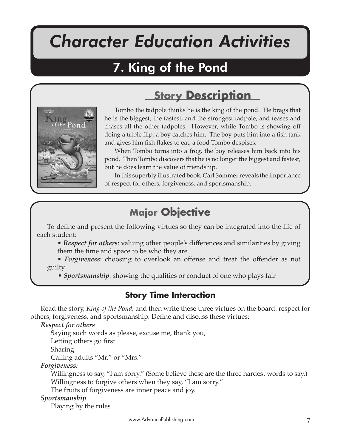# *Character Education Activities*

King of the Pond

## 7. King of the Pond



Tombo the tadpole thinks he is the king of the pond. He brags that he is the biggest, the fastest, and the strongest tadpole, and teases and chases all the other tadpoles. However, while Tombo is showing off doing a triple flip, a boy catches him. The boy puts him into a fish tank and gives him fish flakes to eat, a food Tombo despises.

**Story Description**

When Tombo turns into a frog, the boy releases him back into his pond. Then Tombo discovers that he is no longer the biggest and fastest, but he does learn the value of friendship.

In this superbly illustrated book, Carl Sommer reveals the importance of respect for others, forgiveness, and sportsmanship. .

## **Major Objective**

To define and present the following virtues so they can be integrated into the life of each student:

• *Respect for others*: valuing other people's differences and similarities by giving them the time and space to be who they are

• *Forgiveness*: choosing to overlook an offense and treat the offender as not guilty

• *Sportsmanship*: showing the qualities or conduct of one who plays fair

#### **Story Time Interaction**

Read the story, *King of the Pond,* and then write these three virtues on the board: respect for others, forgiveness, and sportsmanship. Define and discuss these virtues:

*Respect for others*

Saying such words as please, excuse me, thank you,

Letting others go first

Sharing

Calling adults "Mr." or "Mrs."

*Forgiveness:*

 Willingness to say, "I am sorry." (Some believe these are the three hardest words to say.) Willingness to forgive others when they say, "I am sorry."

The fruits of forgiveness are inner peace and joy.

#### *Sportsmanship*

Playing by the rules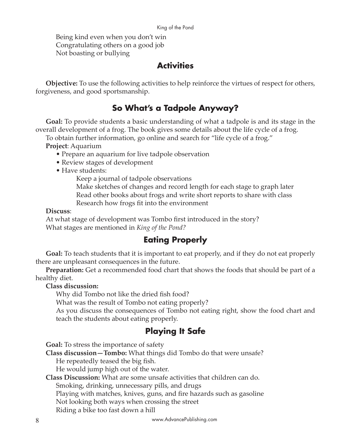#### King of the Pond

 Being kind even when you don't win Congratulating others on a good job Not boasting or bullying

#### **Activities**

**Objective:** To use the following activities to help reinforce the virtues of respect for others, forgiveness, and good sportsmanship.

### **So What's a Tadpole Anyway?**

**Goal:** To provide students a basic understanding of what a tadpole is and its stage in the overall development of a frog. The book gives some details about the life cycle of a frog.

To obtain further information, go online and search for "life cycle of a frog."

**Project**: Aquarium

- Prepare an aquarium for live tadpole observation
- Review stages of development
- Have students:

Keep a journal of tadpole observations

 Make sketches of changes and record length for each stage to graph later Read other books about frogs and write short reports to share with class Research how frogs fit into the environment

#### **Discuss**:

At what stage of development was Tombo first introduced in the story? What stages are mentioned in *King of the Pond?*

### **Eating Properly**

**Goal:** To teach students that it is important to eat properly, and if they do not eat properly there are unpleasant consequences in the future.

**Preparation:** Get a recommended food chart that shows the foods that should be part of a healthy diet.

**Class discussion:** 

Why did Tombo not like the dried fish food?

What was the result of Tombo not eating properly?

As you discuss the consequences of Tombo not eating right, show the food chart and teach the students about eating properly.

### **Playing It Safe**

**Goal:** To stress the importance of safety

**Class discussion—Tombo:** What things did Tombo do that were unsafe? He repeatedly teased the big fish.

He would jump high out of the water.

**Class Discussion:** What are some unsafe activities that children can do.

Smoking, drinking, unnecessary pills, and drugs

Playing with matches, knives, guns, and fire hazards such as gasoline

Not looking both ways when crossing the street

Riding a bike too fast down a hill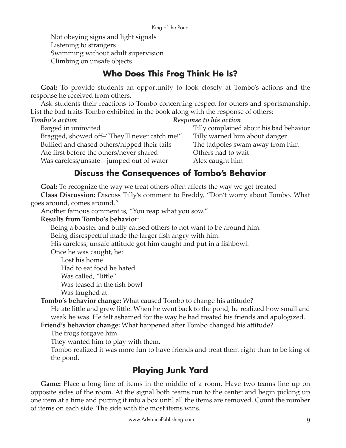Not obeying signs and light signals Listening to strangers Swimming without adult supervision Climbing on unsafe objects

## **Who Does This Frog Think He Is?**

**Goal:** To provide students an opportunity to look closely at Tombo's actions and the response he received from others.

Ask students their reactions to Tombo concerning respect for others and sportsmanship. List the bad traits Tombo exhibited in the book along with the response of others:

*Tombo's action Response to his action*  Barged in uninvited **Tilly complained about his bad behavior** Tilly complained about his bad behavior Bragged, showed off–"They'll never catch me!" Tilly warned him about danger Bullied and chased others/nipped their tails The tadpoles swam away from him Ate first before the others/never shared Others had to wait Was careless/unsafe—jumped out of water Alex caught him

### **Discuss the Consequences of Tombo's Behavior**

**Goal:** To recognize the way we treat others often affects the way we get treated

**Class Discussion:** Discuss Tilly's comment to Freddy, "Don't worry about Tombo. What goes around, comes around."

Another famous comment is, "You reap what you sow."

#### **Results from Tombo's behavior**:

Being a boaster and bully caused others to not want to be around him.

Being disrespectful made the larger fish angry with him.

His careless, unsafe attitude got him caught and put in a fishbowl.

Once he was caught, he:

Lost his home Had to eat food he hated Was called, "little" Was teased in the fish bowl Was laughed at

**Tombo's behavior change:** What caused Tombo to change his a�itude?

He ate little and grew little. When he went back to the pond, he realized how small and weak he was. He felt ashamed for the way he had treated his friends and apologized.

**Friend's behavior change:** What happened after Tombo changed his attitude?

The frogs forgave him.

They wanted him to play with them.

Tombo realized it was more fun to have friends and treat them right than to be king of the pond.

## **Playing Junk Yard**

**Game:** Place a long line of items in the middle of a room. Have two teams line up on opposite sides of the room. At the signal both teams run to the center and begin picking up one item at a time and pu�ing it into a box until all the items are removed. Count the number of items on each side. The side with the most items wins.